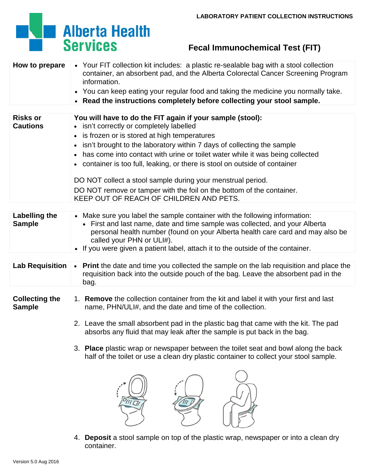## **Alberta Health**<br>Services

## **Fecal Immunochemical Test (FIT)**

| How to prepare                         | • Your FIT collection kit includes: a plastic re-sealable bag with a stool collection<br>container, an absorbent pad, and the Alberta Colorectal Cancer Screening Program<br>information.                                                                                                                                                                   |  |  |  |
|----------------------------------------|-------------------------------------------------------------------------------------------------------------------------------------------------------------------------------------------------------------------------------------------------------------------------------------------------------------------------------------------------------------|--|--|--|
|                                        | • You can keep eating your regular food and taking the medicine you normally take.                                                                                                                                                                                                                                                                          |  |  |  |
|                                        | • Read the instructions completely before collecting your stool sample.                                                                                                                                                                                                                                                                                     |  |  |  |
| <b>Risks or</b><br><b>Cautions</b>     | You will have to do the FIT again if your sample (stool):<br>• isn't correctly or completely labelled                                                                                                                                                                                                                                                       |  |  |  |
|                                        | • is frozen or is stored at high temperatures                                                                                                                                                                                                                                                                                                               |  |  |  |
|                                        | isn't brought to the laboratory within 7 days of collecting the sample<br>$\bullet$                                                                                                                                                                                                                                                                         |  |  |  |
|                                        | has come into contact with urine or toilet water while it was being collected                                                                                                                                                                                                                                                                               |  |  |  |
|                                        | • container is too full, leaking, or there is stool on outside of container                                                                                                                                                                                                                                                                                 |  |  |  |
|                                        | DO NOT collect a stool sample during your menstrual period.                                                                                                                                                                                                                                                                                                 |  |  |  |
|                                        | DO NOT remove or tamper with the foil on the bottom of the container.<br>KEEP OUT OF REACH OF CHILDREN AND PETS.                                                                                                                                                                                                                                            |  |  |  |
|                                        |                                                                                                                                                                                                                                                                                                                                                             |  |  |  |
| <b>Labelling the</b><br><b>Sample</b>  | • Make sure you label the sample container with the following information:<br>• First and last name, date and time sample was collected, and your Alberta<br>personal health number (found on your Alberta health care card and may also be<br>called your PHN or ULI#).<br>• If you were given a patient label, attach it to the outside of the container. |  |  |  |
|                                        |                                                                                                                                                                                                                                                                                                                                                             |  |  |  |
| <b>Lab Requisition</b>                 | • Print the date and time you collected the sample on the lab requisition and place the<br>requisition back into the outside pouch of the bag. Leave the absorbent pad in the<br>bag.                                                                                                                                                                       |  |  |  |
| <b>Collecting the</b><br><b>Sample</b> | 1. Remove the collection container from the kit and label it with your first and last<br>name, PHN/ULI#, and the date and time of the collection.                                                                                                                                                                                                           |  |  |  |
|                                        | 2. Leave the small absorbent pad in the plastic bag that came with the kit. The pad<br>absorbs any fluid that may leak after the sample is put back in the bag.<br>3. Place plastic wrap or newspaper between the toilet seat and bowl along the back<br>half of the toilet or use a clean dry plastic container to collect your stool sample.              |  |  |  |
|                                        |                                                                                                                                                                                                                                                                                                                                                             |  |  |  |
|                                        |                                                                                                                                                                                                                                                                                                                                                             |  |  |  |

4. **Deposit** a stool sample on top of the plastic wrap, newspaper or into a clean dry container.